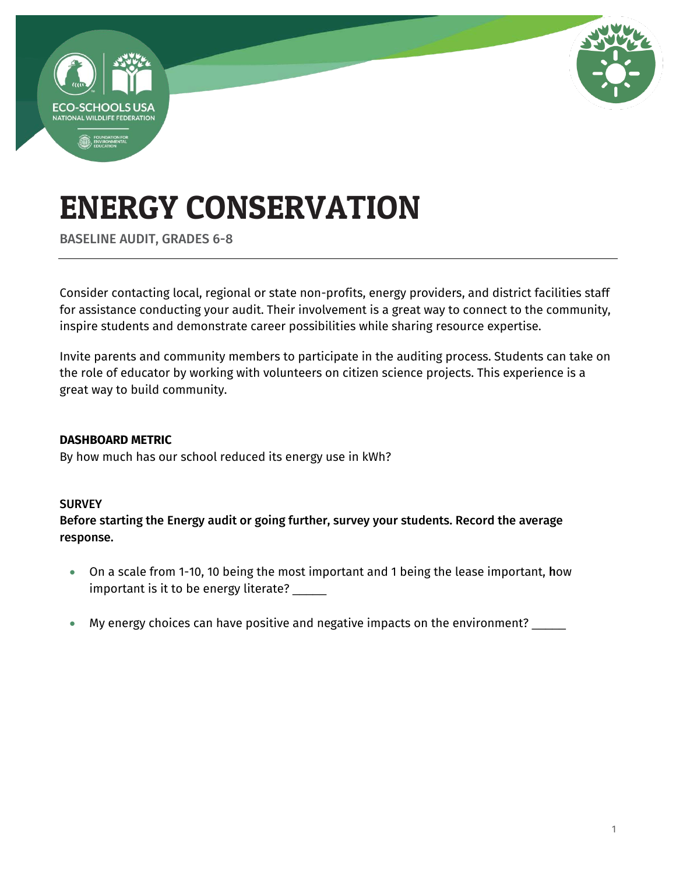

BASELINE AUDIT, GRADES 6-8

Consider contacting local, regional or state non-profits, energy providers, and district facilities staff for assistance conducting your audit. Their involvement is a great way to connect to the community, inspire students and demonstrate career possibilities while sharing resource expertise.

Invite parents and community members to participate in the auditing process. Students can take on the role of educator by working with volunteers on citizen science projects. This experience is a great way to build community.

### **DASHBOARD METRIC**

By how much has our school reduced its energy use in kWh?

### **SURVEY**

Before starting the Energy audit or going further, survey your students. Record the average response.

- On a scale from 1-10, 10 being the most important and 1 being the lease important, how important is it to be energy literate? \_\_\_\_\_
- My energy choices can have positive and negative impacts on the environment? \_\_\_\_\_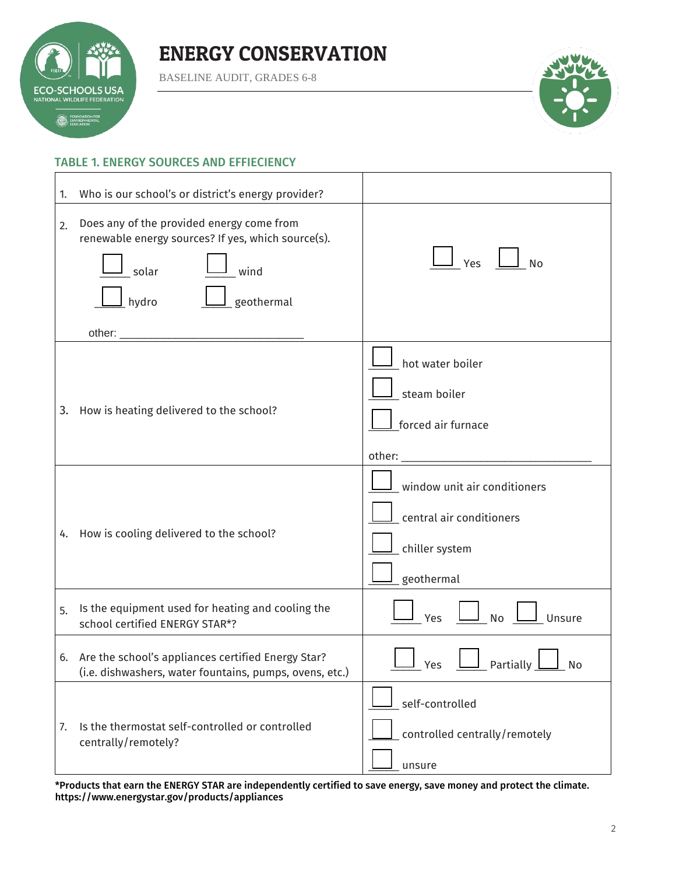

BASELINE AUDIT, GRADES 6-8



#### TABLE 1. ENERGY SOURCES AND EFFIECIENCY

| 1. | Who is our school's or district's energy provider?                                                                                      |                                                                                          |
|----|-----------------------------------------------------------------------------------------------------------------------------------------|------------------------------------------------------------------------------------------|
| 2. | Does any of the provided energy come from<br>renewable energy sources? If yes, which source(s).<br>wind<br>solar<br>geothermal<br>hydro | Yes<br><b>No</b>                                                                         |
|    | 3. How is heating delivered to the school?                                                                                              | hot water boiler<br>steam boiler<br>forced air furnace                                   |
|    | 4. How is cooling delivered to the school?                                                                                              | window unit air conditioners<br>central air conditioners<br>chiller system<br>geothermal |
| 5. | Is the equipment used for heating and cooling the<br>school certified ENERGY STAR*?                                                     | Yes<br><b>No</b><br>Unsure                                                               |
|    | 6. Are the school's appliances certified Energy Star?<br>(i.e. dishwashers, water fountains, pumps, ovens, etc.)                        | Partially<br>Yes<br>No                                                                   |
| 7. | Is the thermostat self-controlled or controlled<br>centrally/remotely?                                                                  | self-controlled<br>controlled centrally/remotely<br>unsure                               |

\*Products that earn the ENERGY STAR are independently certified to save energy, save money and protect the climate. <https://www.energystar.gov/products/appliances>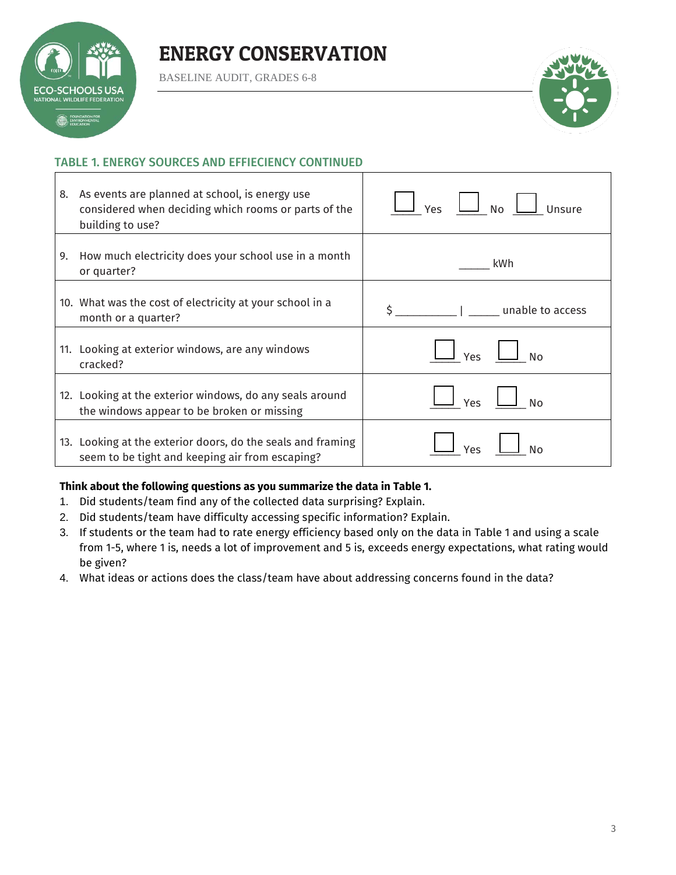# **SCHOOLSUS** NAL WILDLIFE FEDERATI **EQUIPATION FOR**

### ENERGY CONSERVATION

BASELINE AUDIT, GRADES 6-8



### TABLE 1. ENERGY SOURCES AND EFFIECIENCY CONTINUED

| 8. | As events are planned at school, is energy use<br>considered when deciding which rooms or parts of the<br>building to use? | $N$ o<br>Unsure<br>Yes |
|----|----------------------------------------------------------------------------------------------------------------------------|------------------------|
| 9. | How much electricity does your school use in a month<br>or quarter?                                                        | kWh                    |
|    | 10. What was the cost of electricity at your school in a<br>month or a quarter?                                            | unable to access       |
|    | 11. Looking at exterior windows, are any windows<br>cracked?                                                               | Yes<br><b>No</b>       |
|    | 12. Looking at the exterior windows, do any seals around<br>the windows appear to be broken or missing                     | Yes<br><b>No</b>       |
|    | 13. Looking at the exterior doors, do the seals and framing<br>seem to be tight and keeping air from escaping?             | Nο<br>Yes              |

### **Think about the following questions as you summarize the data in Table 1.**

- 1. Did students/team find any of the collected data surprising? Explain.
- 2. Did students/team have difficulty accessing specific information? Explain.
- 3. If students or the team had to rate energy efficiency based only on the data in Table 1 and using a scale from 1-5, where 1 is, needs a lot of improvement and 5 is, exceeds energy expectations, what rating would be given?
- 4. What ideas or actions does the class/team have about addressing concerns found in the data?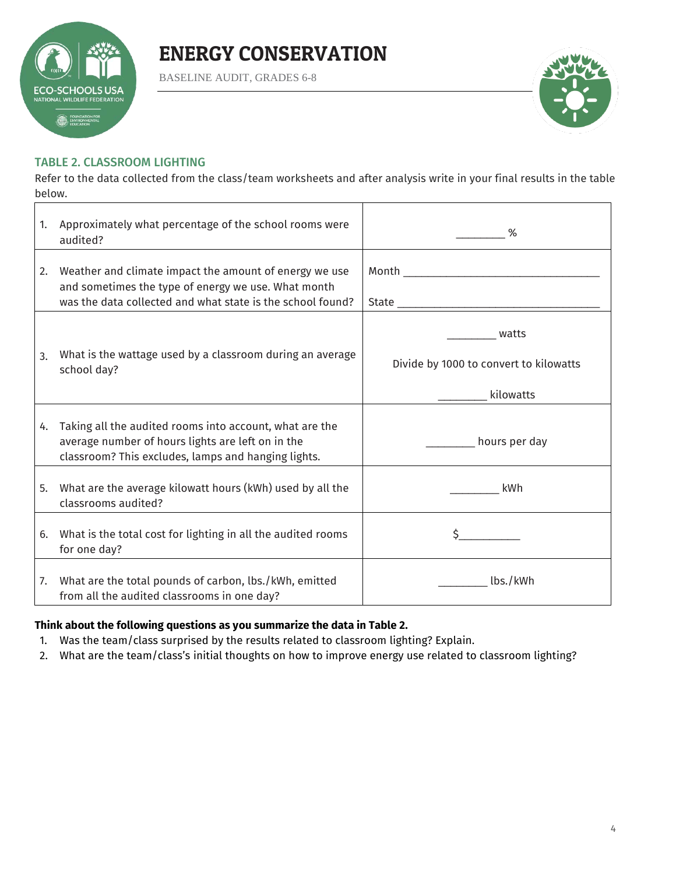

BASELINE AUDIT, GRADES 6-8



### TABLE 2. CLASSROOM LIGHTING

Refer to the data collected from the class/team worksheets and after analysis write in your final results in the table below.

| 1. | Approximately what percentage of the school rooms were<br>audited?                                                                                                          | %                                                            |
|----|-----------------------------------------------------------------------------------------------------------------------------------------------------------------------------|--------------------------------------------------------------|
| 2. | Weather and climate impact the amount of energy we use<br>and sometimes the type of energy we use. What month<br>was the data collected and what state is the school found? |                                                              |
| 3. | What is the wattage used by a classroom during an average<br>school day?                                                                                                    | watts<br>Divide by 1000 to convert to kilowatts<br>kilowatts |
| 4. | Taking all the audited rooms into account, what are the<br>average number of hours lights are left on in the<br>classroom? This excludes, lamps and hanging lights.         | _________ hours per day                                      |
| 5. | What are the average kilowatt hours (kWh) used by all the<br>classrooms audited?                                                                                            | kWh                                                          |
| 6. | What is the total cost for lighting in all the audited rooms<br>for one day?                                                                                                |                                                              |
| 7. | What are the total pounds of carbon, lbs./kWh, emitted<br>from all the audited classrooms in one day?                                                                       | lbs./kWh                                                     |

### **Think about the following questions as you summarize the data in Table 2.**

- 1. Was the team/class surprised by the results related to classroom lighting? Explain.
- 2. What are the team/class's initial thoughts on how to improve energy use related to classroom lighting?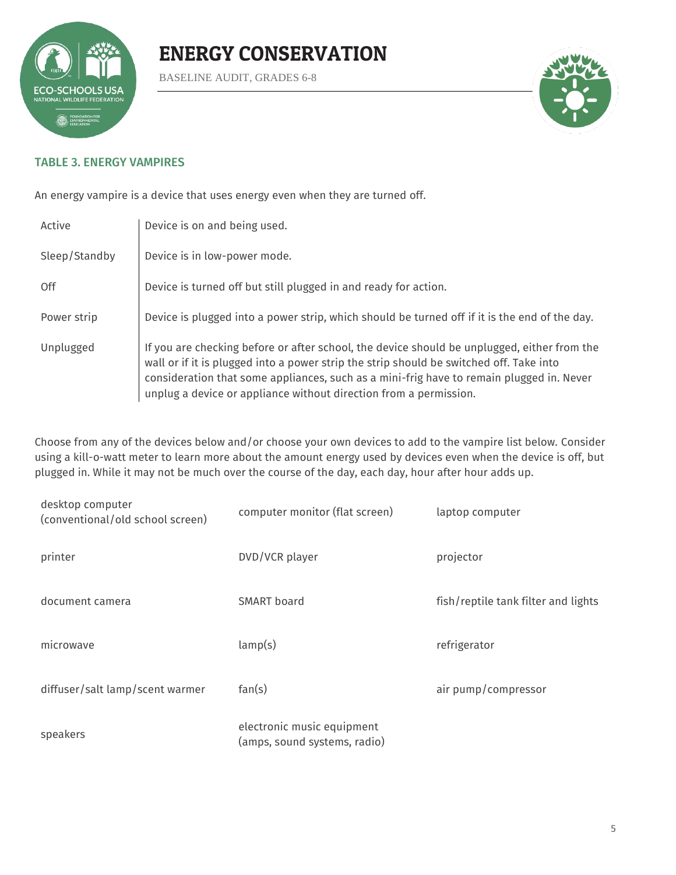

BASELINE AUDIT, GRADES 6-8



### TABLE 3. ENERGY VAMPIRES

An energy vampire is a device that uses energy even when they are turned off.

| Active        | Device is on and being used.                                                                                                                                                                                                                                                                                                                            |
|---------------|---------------------------------------------------------------------------------------------------------------------------------------------------------------------------------------------------------------------------------------------------------------------------------------------------------------------------------------------------------|
| Sleep/Standby | Device is in low-power mode.                                                                                                                                                                                                                                                                                                                            |
| 0ff           | Device is turned off but still plugged in and ready for action.                                                                                                                                                                                                                                                                                         |
| Power strip   | Device is plugged into a power strip, which should be turned off if it is the end of the day.                                                                                                                                                                                                                                                           |
| Unplugged     | If you are checking before or after school, the device should be unplugged, either from the<br>wall or if it is plugged into a power strip the strip should be switched off. Take into<br>consideration that some appliances, such as a mini-frig have to remain plugged in. Never<br>unplug a device or appliance without direction from a permission. |

Choose from any of the devices below and/or choose your own devices to add to the vampire list below. Consider using a kill-o-watt meter to learn more about the amount energy used by devices even when the device is off, but plugged in. While it may not be much over the course of the day, each day, hour after hour adds up.

| desktop computer<br>(conventional/old school screen) | computer monitor (flat screen)                             | laptop computer                     |
|------------------------------------------------------|------------------------------------------------------------|-------------------------------------|
| printer                                              | DVD/VCR player                                             | projector                           |
| document camera                                      | SMART board                                                | fish/reptile tank filter and lights |
| microwave                                            | lamp(s)                                                    | refrigerator                        |
| diffuser/salt lamp/scent warmer                      | fan(s)                                                     | air pump/compressor                 |
| speakers                                             | electronic music equipment<br>(amps, sound systems, radio) |                                     |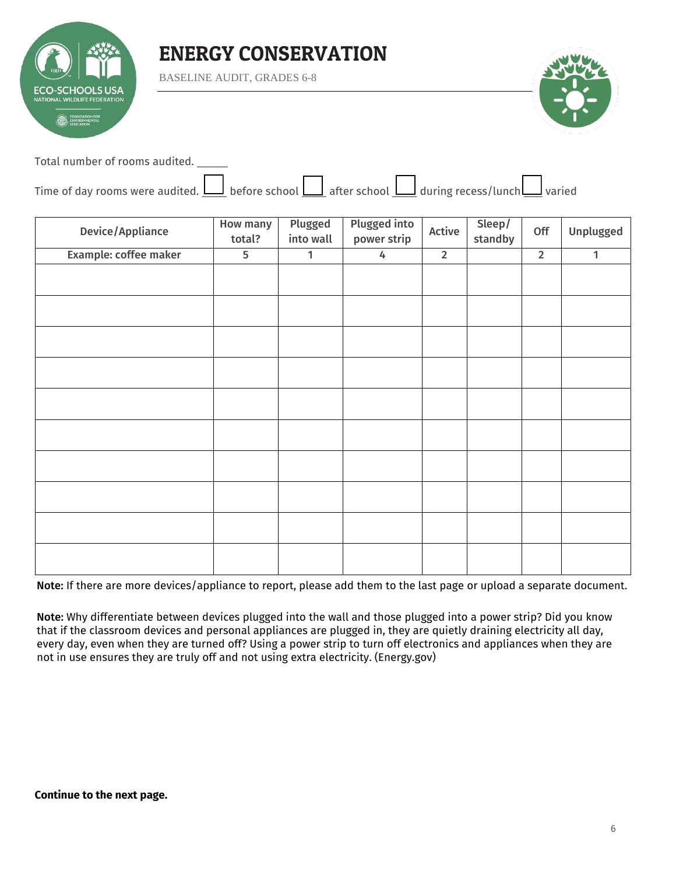

BASELINE AUDIT, GRADES 6-8



Total number of rooms audited. \_\_\_\_\_

| Time of day rooms were audited. $\Box$ before school $\Box$ after school $\Box$ during recess/lunch varied |  |  |  |
|------------------------------------------------------------------------------------------------------------|--|--|--|
|                                                                                                            |  |  |  |

| Device/Appliance      | <b>How many</b><br>total? | Plugged<br>into wall | <b>Plugged into</b><br>power strip | Active      | Sleep/<br>standby | Off            | Unplugged    |
|-----------------------|---------------------------|----------------------|------------------------------------|-------------|-------------------|----------------|--------------|
| Example: coffee maker | $\overline{5}$            | $\mathbf{1}$         | 4                                  | $\mathbf 2$ |                   | $\overline{2}$ | $\mathbf{1}$ |
|                       |                           |                      |                                    |             |                   |                |              |
|                       |                           |                      |                                    |             |                   |                |              |
|                       |                           |                      |                                    |             |                   |                |              |
|                       |                           |                      |                                    |             |                   |                |              |
|                       |                           |                      |                                    |             |                   |                |              |
|                       |                           |                      |                                    |             |                   |                |              |
|                       |                           |                      |                                    |             |                   |                |              |
|                       |                           |                      |                                    |             |                   |                |              |
|                       |                           |                      |                                    |             |                   |                |              |
|                       |                           |                      |                                    |             |                   |                |              |

Note: If there are more devices/appliance to report, please add them to the last page or upload a separate document.

Note: Why differentiate between devices plugged into the wall and those plugged into a power strip? Did you know that if the classroom devices and personal appliances are plugged in, they are quietly draining electricity all day, every day, even when they are turned off? Using a power strip to turn off electronics and appliances when they are not in use ensures they are truly off and not using extra electricity. (Energy.gov)